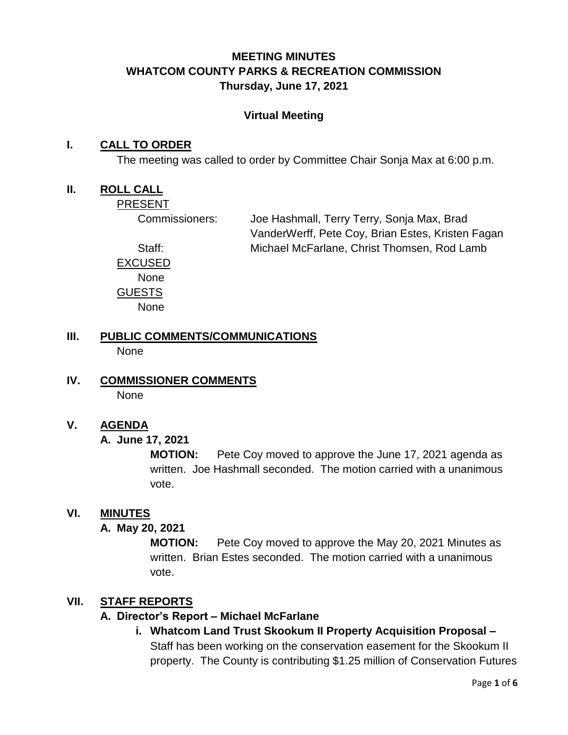# **MEETING MINUTES WHATCOM COUNTY PARKS & RECREATION COMMISSION Thursday, June 17, 2021**

#### **Virtual Meeting**

#### **I. CALL TO ORDER**

The meeting was called to order by Committee Chair Sonja Max at 6:00 p.m.

#### **II. ROLL CALL**

PRESENT

Commissioners: Joe Hashmall, Terry Terry, Sonja Max, Brad VanderWerff, Pete Coy, Brian Estes, Kristen Fagan Staff: Michael McFarlane, Christ Thomsen, Rod Lamb

EXCUSED None GUESTS **None** 

**III. PUBLIC COMMENTS/COMMUNICATIONS** None

**IV. COMMISSIONER COMMENTS** None

## **V. AGENDA**

**A. June 17, 2021**

**MOTION:** Pete Coy moved to approve the June 17, 2021 agenda as written. Joe Hashmall seconded. The motion carried with a unanimous vote.

#### **VI. MINUTES**

#### **A. May 20, 2021**

**MOTION:** Pete Coy moved to approve the May 20, 2021 Minutes as written. Brian Estes seconded. The motion carried with a unanimous vote.

#### **VII. STAFF REPORTS**

#### **A. Director's Report – Michael McFarlane**

**i. Whatcom Land Trust Skookum II Property Acquisition Proposal –** Staff has been working on the conservation easement for the Skookum II property. The County is contributing \$1.25 million of Conservation Futures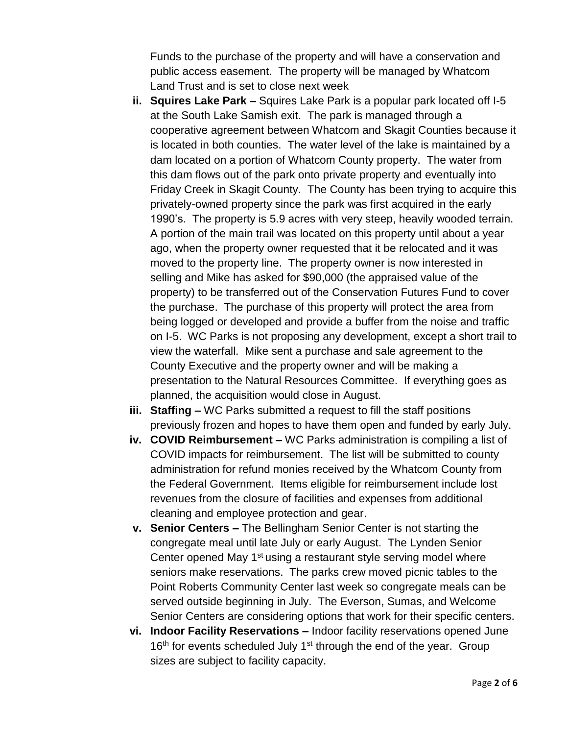Funds to the purchase of the property and will have a conservation and public access easement. The property will be managed by Whatcom Land Trust and is set to close next week

- **ii. Squires Lake Park –** Squires Lake Park is a popular park located off I-5 at the South Lake Samish exit. The park is managed through a cooperative agreement between Whatcom and Skagit Counties because it is located in both counties. The water level of the lake is maintained by a dam located on a portion of Whatcom County property. The water from this dam flows out of the park onto private property and eventually into Friday Creek in Skagit County. The County has been trying to acquire this privately-owned property since the park was first acquired in the early 1990's. The property is 5.9 acres with very steep, heavily wooded terrain. A portion of the main trail was located on this property until about a year ago, when the property owner requested that it be relocated and it was moved to the property line. The property owner is now interested in selling and Mike has asked for \$90,000 (the appraised value of the property) to be transferred out of the Conservation Futures Fund to cover the purchase. The purchase of this property will protect the area from being logged or developed and provide a buffer from the noise and traffic on I-5. WC Parks is not proposing any development, except a short trail to view the waterfall. Mike sent a purchase and sale agreement to the County Executive and the property owner and will be making a presentation to the Natural Resources Committee. If everything goes as planned, the acquisition would close in August.
- **iii. Staffing –** WC Parks submitted a request to fill the staff positions previously frozen and hopes to have them open and funded by early July.
- **iv. COVID Reimbursement –** WC Parks administration is compiling a list of COVID impacts for reimbursement. The list will be submitted to county administration for refund monies received by the Whatcom County from the Federal Government. Items eligible for reimbursement include lost revenues from the closure of facilities and expenses from additional cleaning and employee protection and gear.
- **v. Senior Centers –** The Bellingham Senior Center is not starting the congregate meal until late July or early August. The Lynden Senior Center opened May 1<sup>st</sup> using a restaurant style serving model where seniors make reservations. The parks crew moved picnic tables to the Point Roberts Community Center last week so congregate meals can be served outside beginning in July. The Everson, Sumas, and Welcome Senior Centers are considering options that work for their specific centers.
- **vi. Indoor Facility Reservations –** Indoor facility reservations opened June  $16<sup>th</sup>$  for events scheduled July 1<sup>st</sup> through the end of the year. Group sizes are subject to facility capacity.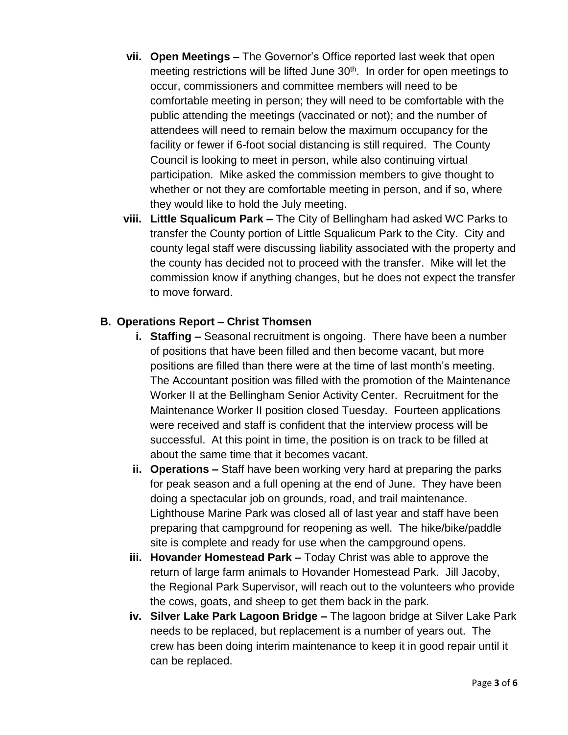- **vii. Open Meetings –** The Governor's Office reported last week that open meeting restrictions will be lifted June 30<sup>th</sup>. In order for open meetings to occur, commissioners and committee members will need to be comfortable meeting in person; they will need to be comfortable with the public attending the meetings (vaccinated or not); and the number of attendees will need to remain below the maximum occupancy for the facility or fewer if 6-foot social distancing is still required. The County Council is looking to meet in person, while also continuing virtual participation. Mike asked the commission members to give thought to whether or not they are comfortable meeting in person, and if so, where they would like to hold the July meeting.
- **viii. Little Squalicum Park –** The City of Bellingham had asked WC Parks to transfer the County portion of Little Squalicum Park to the City. City and county legal staff were discussing liability associated with the property and the county has decided not to proceed with the transfer. Mike will let the commission know if anything changes, but he does not expect the transfer to move forward.

## **B. Operations Report – Christ Thomsen**

- **i. Staffing –** Seasonal recruitment is ongoing. There have been a number of positions that have been filled and then become vacant, but more positions are filled than there were at the time of last month's meeting. The Accountant position was filled with the promotion of the Maintenance Worker II at the Bellingham Senior Activity Center. Recruitment for the Maintenance Worker II position closed Tuesday. Fourteen applications were received and staff is confident that the interview process will be successful. At this point in time, the position is on track to be filled at about the same time that it becomes vacant.
- **ii. Operations –** Staff have been working very hard at preparing the parks for peak season and a full opening at the end of June. They have been doing a spectacular job on grounds, road, and trail maintenance. Lighthouse Marine Park was closed all of last year and staff have been preparing that campground for reopening as well. The hike/bike/paddle site is complete and ready for use when the campground opens.
- **iii. Hovander Homestead Park –** Today Christ was able to approve the return of large farm animals to Hovander Homestead Park. Jill Jacoby, the Regional Park Supervisor, will reach out to the volunteers who provide the cows, goats, and sheep to get them back in the park.
- **iv. Silver Lake Park Lagoon Bridge –** The lagoon bridge at Silver Lake Park needs to be replaced, but replacement is a number of years out. The crew has been doing interim maintenance to keep it in good repair until it can be replaced.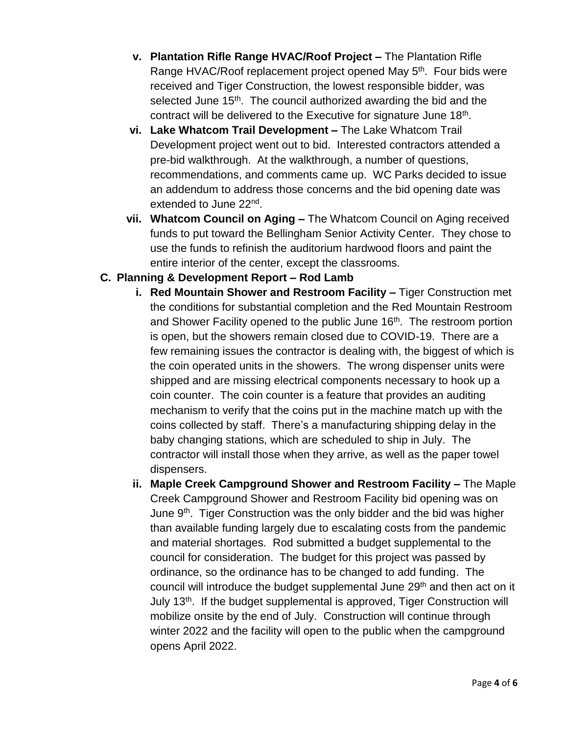- **v. Plantation Rifle Range HVAC/Roof Project –** The Plantation Rifle Range HVAC/Roof replacement project opened May 5<sup>th</sup>. Four bids were received and Tiger Construction, the lowest responsible bidder, was selected June 15<sup>th</sup>. The council authorized awarding the bid and the contract will be delivered to the Executive for signature June 18<sup>th</sup>.
- **vi. Lake Whatcom Trail Development –** The Lake Whatcom Trail Development project went out to bid. Interested contractors attended a pre-bid walkthrough. At the walkthrough, a number of questions, recommendations, and comments came up. WC Parks decided to issue an addendum to address those concerns and the bid opening date was extended to June 22<sup>nd</sup>.
- **vii. Whatcom Council on Aging –** The Whatcom Council on Aging received funds to put toward the Bellingham Senior Activity Center. They chose to use the funds to refinish the auditorium hardwood floors and paint the entire interior of the center, except the classrooms.

### **C. Planning & Development Report – Rod Lamb**

- **i. Red Mountain Shower and Restroom Facility –** Tiger Construction met the conditions for substantial completion and the Red Mountain Restroom and Shower Facility opened to the public June 16<sup>th</sup>. The restroom portion is open, but the showers remain closed due to COVID-19. There are a few remaining issues the contractor is dealing with, the biggest of which is the coin operated units in the showers. The wrong dispenser units were shipped and are missing electrical components necessary to hook up a coin counter. The coin counter is a feature that provides an auditing mechanism to verify that the coins put in the machine match up with the coins collected by staff. There's a manufacturing shipping delay in the baby changing stations, which are scheduled to ship in July. The contractor will install those when they arrive, as well as the paper towel dispensers.
- **ii. Maple Creek Campground Shower and Restroom Facility –** The Maple Creek Campground Shower and Restroom Facility bid opening was on June  $9<sup>th</sup>$ . Tiger Construction was the only bidder and the bid was higher than available funding largely due to escalating costs from the pandemic and material shortages. Rod submitted a budget supplemental to the council for consideration. The budget for this project was passed by ordinance, so the ordinance has to be changed to add funding. The council will introduce the budget supplemental June 29<sup>th</sup> and then act on it July 13<sup>th</sup>. If the budget supplemental is approved, Tiger Construction will mobilize onsite by the end of July. Construction will continue through winter 2022 and the facility will open to the public when the campground opens April 2022.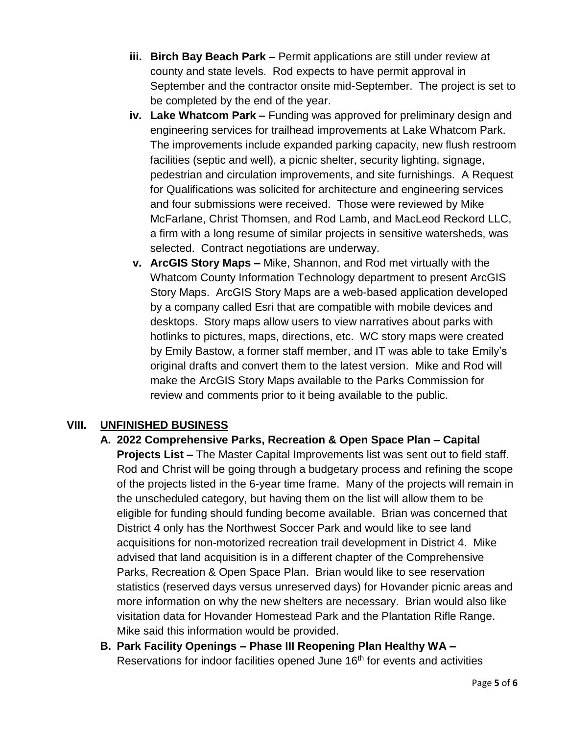- **iii. Birch Bay Beach Park –** Permit applications are still under review at county and state levels. Rod expects to have permit approval in September and the contractor onsite mid-September. The project is set to be completed by the end of the year.
- **iv. Lake Whatcom Park –** Funding was approved for preliminary design and engineering services for trailhead improvements at Lake Whatcom Park. The improvements include expanded parking capacity, new flush restroom facilities (septic and well), a picnic shelter, security lighting, signage, pedestrian and circulation improvements, and site furnishings. A Request for Qualifications was solicited for architecture and engineering services and four submissions were received. Those were reviewed by Mike McFarlane, Christ Thomsen, and Rod Lamb, and MacLeod Reckord LLC, a firm with a long resume of similar projects in sensitive watersheds, was selected. Contract negotiations are underway.
- **v. ArcGIS Story Maps –** Mike, Shannon, and Rod met virtually with the Whatcom County Information Technology department to present ArcGIS Story Maps. ArcGIS Story Maps are a web-based application developed by a company called Esri that are compatible with mobile devices and desktops. Story maps allow users to view narratives about parks with hotlinks to pictures, maps, directions, etc. WC story maps were created by Emily Bastow, a former staff member, and IT was able to take Emily's original drafts and convert them to the latest version. Mike and Rod will make the ArcGIS Story Maps available to the Parks Commission for review and comments prior to it being available to the public.

## **VIII. UNFINISHED BUSINESS**

- **A. 2022 Comprehensive Parks, Recreation & Open Space Plan – Capital Projects List –** The Master Capital Improvements list was sent out to field staff. Rod and Christ will be going through a budgetary process and refining the scope of the projects listed in the 6-year time frame. Many of the projects will remain in the unscheduled category, but having them on the list will allow them to be eligible for funding should funding become available. Brian was concerned that District 4 only has the Northwest Soccer Park and would like to see land acquisitions for non-motorized recreation trail development in District 4. Mike advised that land acquisition is in a different chapter of the Comprehensive Parks, Recreation & Open Space Plan. Brian would like to see reservation statistics (reserved days versus unreserved days) for Hovander picnic areas and more information on why the new shelters are necessary. Brian would also like visitation data for Hovander Homestead Park and the Plantation Rifle Range. Mike said this information would be provided.
- **B. Park Facility Openings – Phase III Reopening Plan Healthy WA –** Reservations for indoor facilities opened June 16<sup>th</sup> for events and activities